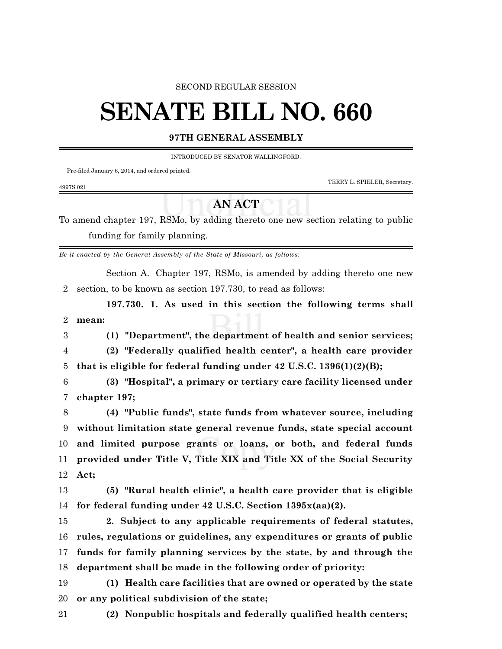#### SECOND REGULAR SESSION

# **SENATE BILL NO. 660**

#### **97TH GENERAL ASSEMBLY**

INTRODUCED BY SENATOR WALLINGFORD.

Pre-filed January 6, 2014, and ordered printed.

TERRY L. SPIELER, Secretary.

### 4997S.02I

## **AN ACT**

To amend chapter 197, RSMo, by adding thereto one new section relating to public funding for family planning.

*Be it enacted by the General Assembly of the State of Missouri, as follows:*

Section A. Chapter 197, RSMo, is amended by adding thereto one new section, to be known as section 197.730, to read as follows:

**197.730. 1. As used in this section the following terms shall mean:**

**(1) "Department", the department of health and senior services;**

 **(2) "Federally qualified health center", a health care provider that is eligible for federal funding under 42 U.S.C. 1396(1)(2)(B);**

 **(3) "Hospital", a primary or tertiary care facility licensed under chapter 197;**

 **(4) "Public funds", state funds from whatever source, including without limitation state general revenue funds, state special account and limited purpose grants or loans, or both, and federal funds provided under Title V, Title XIX and Title XX of the Social Security Act;**

 **(5) "Rural health clinic", a health care provider that is eligible for federal funding under 42 U.S.C. Section 1395x(aa)(2).**

 **2. Subject to any applicable requirements of federal statutes, rules, regulations or guidelines, any expenditures or grants of public funds for family planning services by the state, by and through the department shall be made in the following order of priority:**

 **(1) Health care facilities that are owned or operated by the state or any political subdivision of the state;**

**(2) Nonpublic hospitals and federally qualified health centers;**